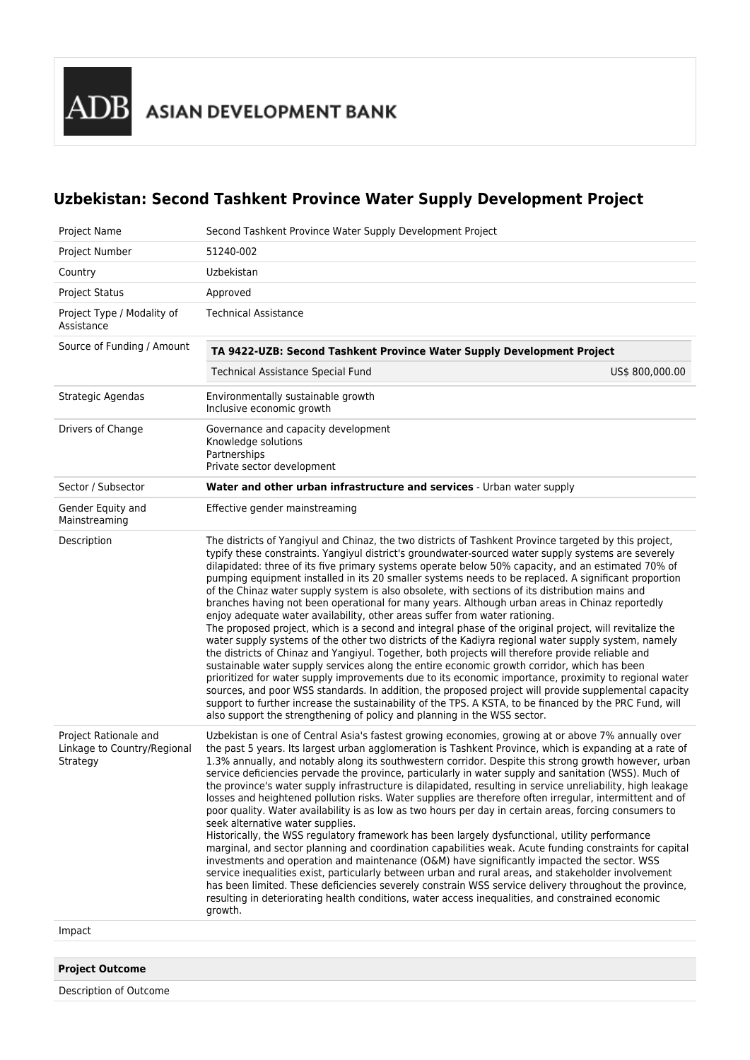Description of Outcome

## **Uzbekistan: Second Tashkent Province Water Supply Development Project**

| Project Name                                                     | Second Tashkent Province Water Supply Development Project                                                                                                                                                                                                                                                                                                                                                                                                                                                                                                                                                                                                                                                                                                                                                                                                                                                                                                                                                                                                                                                                                                                                                                                                                                                                                                                                                                                                                                                                                      |
|------------------------------------------------------------------|------------------------------------------------------------------------------------------------------------------------------------------------------------------------------------------------------------------------------------------------------------------------------------------------------------------------------------------------------------------------------------------------------------------------------------------------------------------------------------------------------------------------------------------------------------------------------------------------------------------------------------------------------------------------------------------------------------------------------------------------------------------------------------------------------------------------------------------------------------------------------------------------------------------------------------------------------------------------------------------------------------------------------------------------------------------------------------------------------------------------------------------------------------------------------------------------------------------------------------------------------------------------------------------------------------------------------------------------------------------------------------------------------------------------------------------------------------------------------------------------------------------------------------------------|
| Project Number                                                   | 51240-002                                                                                                                                                                                                                                                                                                                                                                                                                                                                                                                                                                                                                                                                                                                                                                                                                                                                                                                                                                                                                                                                                                                                                                                                                                                                                                                                                                                                                                                                                                                                      |
| Country                                                          | Uzbekistan                                                                                                                                                                                                                                                                                                                                                                                                                                                                                                                                                                                                                                                                                                                                                                                                                                                                                                                                                                                                                                                                                                                                                                                                                                                                                                                                                                                                                                                                                                                                     |
| <b>Project Status</b>                                            | Approved                                                                                                                                                                                                                                                                                                                                                                                                                                                                                                                                                                                                                                                                                                                                                                                                                                                                                                                                                                                                                                                                                                                                                                                                                                                                                                                                                                                                                                                                                                                                       |
| Project Type / Modality of<br>Assistance                         | <b>Technical Assistance</b>                                                                                                                                                                                                                                                                                                                                                                                                                                                                                                                                                                                                                                                                                                                                                                                                                                                                                                                                                                                                                                                                                                                                                                                                                                                                                                                                                                                                                                                                                                                    |
| Source of Funding / Amount                                       | TA 9422-UZB: Second Tashkent Province Water Supply Development Project                                                                                                                                                                                                                                                                                                                                                                                                                                                                                                                                                                                                                                                                                                                                                                                                                                                                                                                                                                                                                                                                                                                                                                                                                                                                                                                                                                                                                                                                         |
|                                                                  | Technical Assistance Special Fund<br>US\$ 800,000.00                                                                                                                                                                                                                                                                                                                                                                                                                                                                                                                                                                                                                                                                                                                                                                                                                                                                                                                                                                                                                                                                                                                                                                                                                                                                                                                                                                                                                                                                                           |
| Strategic Agendas                                                | Environmentally sustainable growth<br>Inclusive economic growth                                                                                                                                                                                                                                                                                                                                                                                                                                                                                                                                                                                                                                                                                                                                                                                                                                                                                                                                                                                                                                                                                                                                                                                                                                                                                                                                                                                                                                                                                |
| Drivers of Change                                                | Governance and capacity development<br>Knowledge solutions<br>Partnerships<br>Private sector development                                                                                                                                                                                                                                                                                                                                                                                                                                                                                                                                                                                                                                                                                                                                                                                                                                                                                                                                                                                                                                                                                                                                                                                                                                                                                                                                                                                                                                       |
| Sector / Subsector                                               | Water and other urban infrastructure and services - Urban water supply                                                                                                                                                                                                                                                                                                                                                                                                                                                                                                                                                                                                                                                                                                                                                                                                                                                                                                                                                                                                                                                                                                                                                                                                                                                                                                                                                                                                                                                                         |
| Gender Equity and<br>Mainstreaming                               | Effective gender mainstreaming                                                                                                                                                                                                                                                                                                                                                                                                                                                                                                                                                                                                                                                                                                                                                                                                                                                                                                                                                                                                                                                                                                                                                                                                                                                                                                                                                                                                                                                                                                                 |
| Description                                                      | The districts of Yangiyul and Chinaz, the two districts of Tashkent Province targeted by this project,<br>typify these constraints. Yangiyul district's groundwater-sourced water supply systems are severely<br>dilapidated: three of its five primary systems operate below 50% capacity, and an estimated 70% of<br>pumping equipment installed in its 20 smaller systems needs to be replaced. A significant proportion<br>of the Chinaz water supply system is also obsolete, with sections of its distribution mains and<br>branches having not been operational for many years. Although urban areas in Chinaz reportedly<br>enjoy adequate water availability, other areas suffer from water rationing.<br>The proposed project, which is a second and integral phase of the original project, will revitalize the<br>water supply systems of the other two districts of the Kadiyra regional water supply system, namely<br>the districts of Chinaz and Yangiyul. Together, both projects will therefore provide reliable and<br>sustainable water supply services along the entire economic growth corridor, which has been<br>prioritized for water supply improvements due to its economic importance, proximity to regional water<br>sources, and poor WSS standards. In addition, the proposed project will provide supplemental capacity<br>support to further increase the sustainability of the TPS. A KSTA, to be financed by the PRC Fund, will<br>also support the strengthening of policy and planning in the WSS sector. |
| Project Rationale and<br>Linkage to Country/Regional<br>Strategy | Uzbekistan is one of Central Asia's fastest growing economies, growing at or above 7% annually over<br>the past 5 years. Its largest urban agglomeration is Tashkent Province, which is expanding at a rate of<br>1.3% annually, and notably along its southwestern corridor. Despite this strong growth however, urban<br>service deficiencies pervade the province, particularly in water supply and sanitation (WSS). Much of<br>the province's water supply infrastructure is dilapidated, resulting in service unreliability, high leakage<br>losses and heightened pollution risks. Water supplies are therefore often irregular, intermittent and of<br>poor quality. Water availability is as low as two hours per day in certain areas, forcing consumers to<br>seek alternative water supplies.<br>Historically, the WSS regulatory framework has been largely dysfunctional, utility performance<br>marginal, and sector planning and coordination capabilities weak. Acute funding constraints for capital<br>investments and operation and maintenance (O&M) have significantly impacted the sector. WSS<br>service inequalities exist, particularly between urban and rural areas, and stakeholder involvement<br>has been limited. These deficiencies severely constrain WSS service delivery throughout the province,<br>resulting in deteriorating health conditions, water access inequalities, and constrained economic<br>growth.                                                                                          |
| Impact                                                           |                                                                                                                                                                                                                                                                                                                                                                                                                                                                                                                                                                                                                                                                                                                                                                                                                                                                                                                                                                                                                                                                                                                                                                                                                                                                                                                                                                                                                                                                                                                                                |
|                                                                  |                                                                                                                                                                                                                                                                                                                                                                                                                                                                                                                                                                                                                                                                                                                                                                                                                                                                                                                                                                                                                                                                                                                                                                                                                                                                                                                                                                                                                                                                                                                                                |
| <b>Project Outcome</b>                                           |                                                                                                                                                                                                                                                                                                                                                                                                                                                                                                                                                                                                                                                                                                                                                                                                                                                                                                                                                                                                                                                                                                                                                                                                                                                                                                                                                                                                                                                                                                                                                |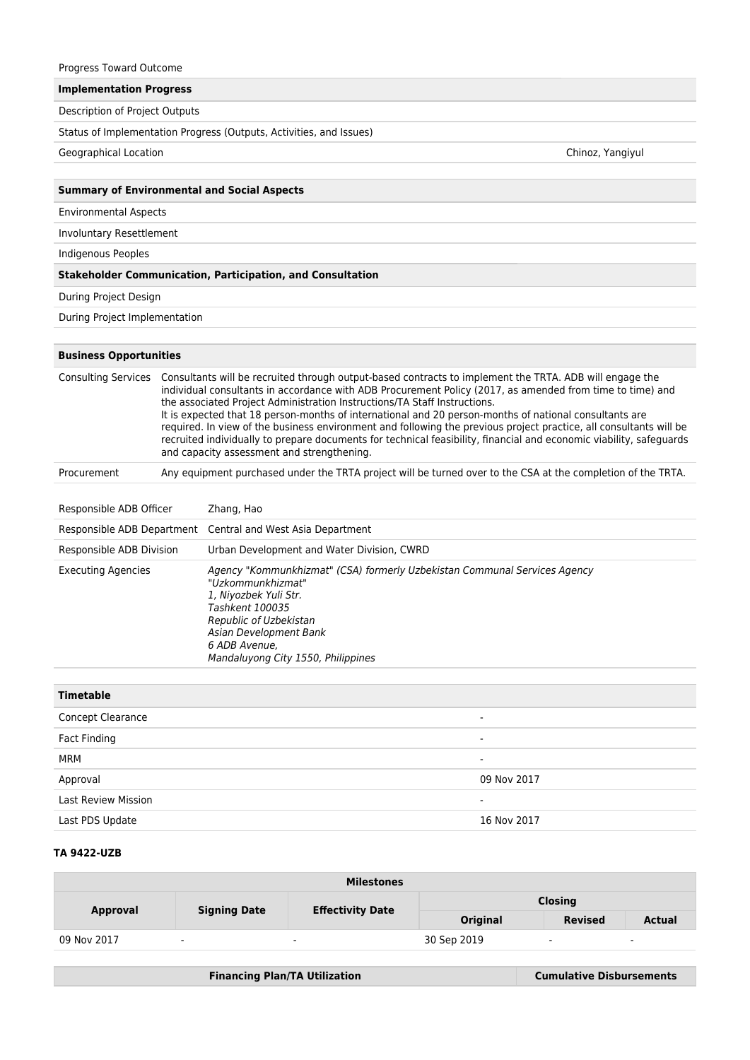| Progress Toward Outcome        |                  |                                                                                                                                                                                                                                                                                                                                                                                                                                                                                                                                                                                                                                                                                                        |  |  |  |  |
|--------------------------------|------------------|--------------------------------------------------------------------------------------------------------------------------------------------------------------------------------------------------------------------------------------------------------------------------------------------------------------------------------------------------------------------------------------------------------------------------------------------------------------------------------------------------------------------------------------------------------------------------------------------------------------------------------------------------------------------------------------------------------|--|--|--|--|
| <b>Implementation Progress</b> |                  |                                                                                                                                                                                                                                                                                                                                                                                                                                                                                                                                                                                                                                                                                                        |  |  |  |  |
| Description of Project Outputs |                  |                                                                                                                                                                                                                                                                                                                                                                                                                                                                                                                                                                                                                                                                                                        |  |  |  |  |
|                                |                  | Status of Implementation Progress (Outputs, Activities, and Issues)                                                                                                                                                                                                                                                                                                                                                                                                                                                                                                                                                                                                                                    |  |  |  |  |
| Geographical Location          | Chinoz, Yangiyul |                                                                                                                                                                                                                                                                                                                                                                                                                                                                                                                                                                                                                                                                                                        |  |  |  |  |
|                                |                  |                                                                                                                                                                                                                                                                                                                                                                                                                                                                                                                                                                                                                                                                                                        |  |  |  |  |
|                                |                  | <b>Summary of Environmental and Social Aspects</b>                                                                                                                                                                                                                                                                                                                                                                                                                                                                                                                                                                                                                                                     |  |  |  |  |
| <b>Environmental Aspects</b>   |                  |                                                                                                                                                                                                                                                                                                                                                                                                                                                                                                                                                                                                                                                                                                        |  |  |  |  |
| Involuntary Resettlement       |                  |                                                                                                                                                                                                                                                                                                                                                                                                                                                                                                                                                                                                                                                                                                        |  |  |  |  |
| Indigenous Peoples             |                  |                                                                                                                                                                                                                                                                                                                                                                                                                                                                                                                                                                                                                                                                                                        |  |  |  |  |
|                                |                  | <b>Stakeholder Communication, Participation, and Consultation</b>                                                                                                                                                                                                                                                                                                                                                                                                                                                                                                                                                                                                                                      |  |  |  |  |
| During Project Design          |                  |                                                                                                                                                                                                                                                                                                                                                                                                                                                                                                                                                                                                                                                                                                        |  |  |  |  |
| During Project Implementation  |                  |                                                                                                                                                                                                                                                                                                                                                                                                                                                                                                                                                                                                                                                                                                        |  |  |  |  |
| <b>Business Opportunities</b>  |                  |                                                                                                                                                                                                                                                                                                                                                                                                                                                                                                                                                                                                                                                                                                        |  |  |  |  |
| <b>Consulting Services</b>     |                  | Consultants will be recruited through output-based contracts to implement the TRTA. ADB will engage the<br>individual consultants in accordance with ADB Procurement Policy (2017, as amended from time to time) and<br>the associated Project Administration Instructions/TA Staff Instructions.<br>It is expected that 18 person-months of international and 20 person-months of national consultants are<br>required. In view of the business environment and following the previous project practice, all consultants will be<br>recruited individually to prepare documents for technical feasibility, financial and economic viability, safeguards<br>and capacity assessment and strengthening. |  |  |  |  |
| Procurement                    |                  | Any equipment purchased under the TRTA project will be turned over to the CSA at the completion of the TRTA.                                                                                                                                                                                                                                                                                                                                                                                                                                                                                                                                                                                           |  |  |  |  |
| Responsible ADB Officer        |                  | Zhang, Hao                                                                                                                                                                                                                                                                                                                                                                                                                                                                                                                                                                                                                                                                                             |  |  |  |  |
|                                |                  | Responsible ADB Department Central and West Asia Department                                                                                                                                                                                                                                                                                                                                                                                                                                                                                                                                                                                                                                            |  |  |  |  |
| Responsible ADB Division       |                  | Urban Development and Water Division, CWRD                                                                                                                                                                                                                                                                                                                                                                                                                                                                                                                                                                                                                                                             |  |  |  |  |
| <b>Executing Agencies</b>      |                  | Agency "Kommunkhizmat" (CSA) formerly Uzbekistan Communal Services Agency<br>"Uzkommunkhizmat"<br>1, Niyozbek Yuli Str.<br>Tashkent 100035<br>Republic of Uzbekistan<br>Asian Development Bank<br>6 ADB Avenue,<br>Mandaluyong City 1550, Philippines                                                                                                                                                                                                                                                                                                                                                                                                                                                  |  |  |  |  |

| <b>Timetable</b>           |                          |
|----------------------------|--------------------------|
| Concept Clearance          | ۰                        |
| Fact Finding               | $\blacksquare$           |
| MRM                        | $\overline{\phantom{0}}$ |
| Approval                   | 09 Nov 2017              |
| <b>Last Review Mission</b> | $\overline{\phantom{0}}$ |
| Last PDS Update            | 16 Nov 2017              |

## **TA 9422-UZB**

| <b>Milestones</b> |                          |                         |                |                |                          |
|-------------------|--------------------------|-------------------------|----------------|----------------|--------------------------|
| <b>Approval</b>   | <b>Signing Date</b>      | <b>Effectivity Date</b> | <b>Closing</b> |                |                          |
|                   |                          |                         | Original       | <b>Revised</b> | <b>Actual</b>            |
| 09 Nov 2017       | $\overline{\phantom{a}}$ | $\sim$                  | 30 Sep 2019    | $\blacksquare$ | $\overline{\phantom{a}}$ |